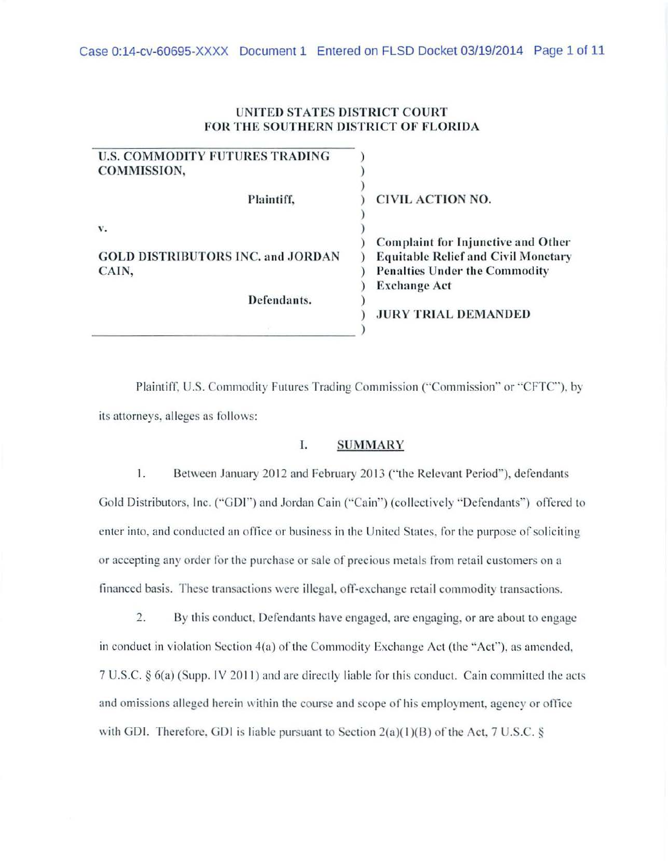# UNITED STATES DISTRICT COURT FOR THE SOUTHERN DISTRICT OF FLORIDA

| <b>CIVIL ACTION NO.</b>                                                                 |                                      |
|-----------------------------------------------------------------------------------------|--------------------------------------|
| <b>Complaint for Injunctive and Other</b><br><b>Equitable Relief and Civil Monetary</b> |                                      |
|                                                                                         | <b>Penalties Under the Commodity</b> |
|                                                                                         | <b>Exchange Act</b>                  |
|                                                                                         |                                      |
| <b>JURY TRIAL DEMANDED</b>                                                              |                                      |
|                                                                                         |                                      |

Plaintiff, U.S. Commodity Futures Trading Commission ("Commission" or "CFTC"), by its attorneys, alleges as follows:

# I. SUMMARY

1. Between January 2012 and February 2013 ("the Relevant Period"), defendants Gold Distributors, Inc. ("GDI") and Jordan Cain ("Cain") (collectively "Defendants") offered to enter into, and conducted an office or business in the United States, for the purpose of soliciting or accepting any order for the purchase or sale of precious metals from retail customers on a financed basis. These transactions were illegal, off-exchange retail commodity transactions.

2. By this conduct. Defendants have engaged. arc engaging. or are about to engage in conduct in violation Section 4(a) of the Commodity Exchange Act (the "Act"), as amended,  $7 U.S.C. § 6(a)$  (Supp. IV 2011) and are directly liable for this conduct. Cain committed the acts and omissions alleged herein within the course and scope of his employment, agency or office with GDI. Therefore, GDI is liable pursuant to Section  $2(a)(1)(B)$  of the Act, 7 U.S.C. §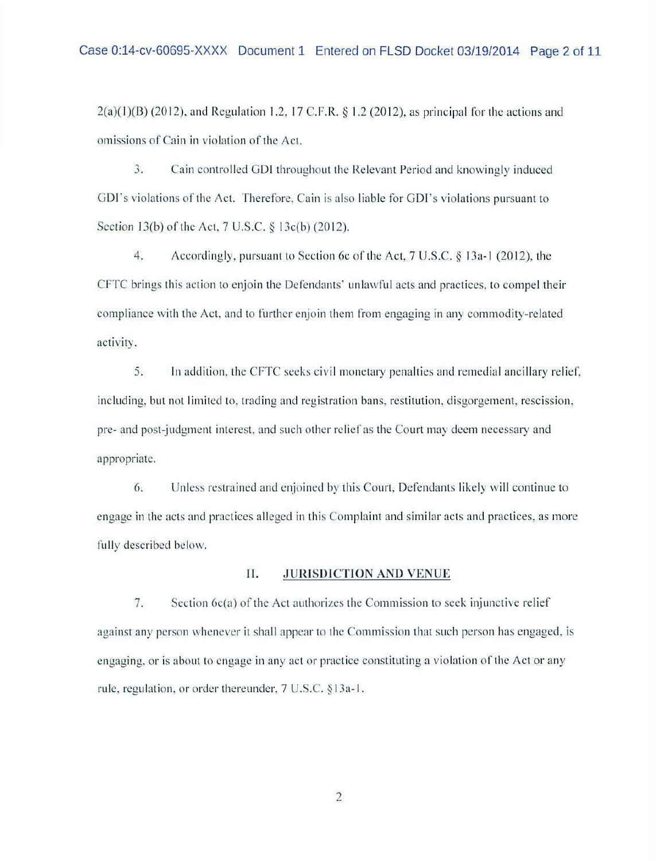2(a)(1)(B) (2012), and Regulation 1.2, 17 C.F.R. § 1.2 (2012), as principal for the actions and omissions of Cain in violation of the Act.

3. Cain controlled GDI throughout the Relevant Period and knowingly induced GDI's violations of the Act. Therefore, Cain is also liable for GDI's violations pursuant to Section 13(b) of the Act, 7 U.S.C. § 13c(b) (2012).

4. Accordingly, pursuant to Section 6c of the Act, 7 U.S.C. § 13a-l (2012), the CFTC brings this action to enjoin the Defendants' unlawful acts and practices, to compel their compliance with the Act. and to further enjoin them from engaging in any commodity-related activity.

5. In addition, the CFTC seeks civil monetary penalties and remedial ancillary relief, including, but not limited to, trading and registration bans, restitution, disgorgement, rescission, pre- and post-judgment interest, and such other relief as the Court may deem necessary and appropriate.

6. Unless restrained and enjoined by this Court, Defendants likely will continue to engage in the acts and practices alleged in this Complaint and similar acts and practices, as more fully described below.

# **II. JURJSDJCTION AND VENUE**

7. Section  $6c(a)$  of the Act authorizes the Commission to seek injunctive relief against any person whenever it shall appear to the Commission that such person has engaged, is engaging, or is about to engage in any act or practice constituting a violation of the Act or any rule. regulation, or order thereunder, 7 U.S.C. § 13a-l.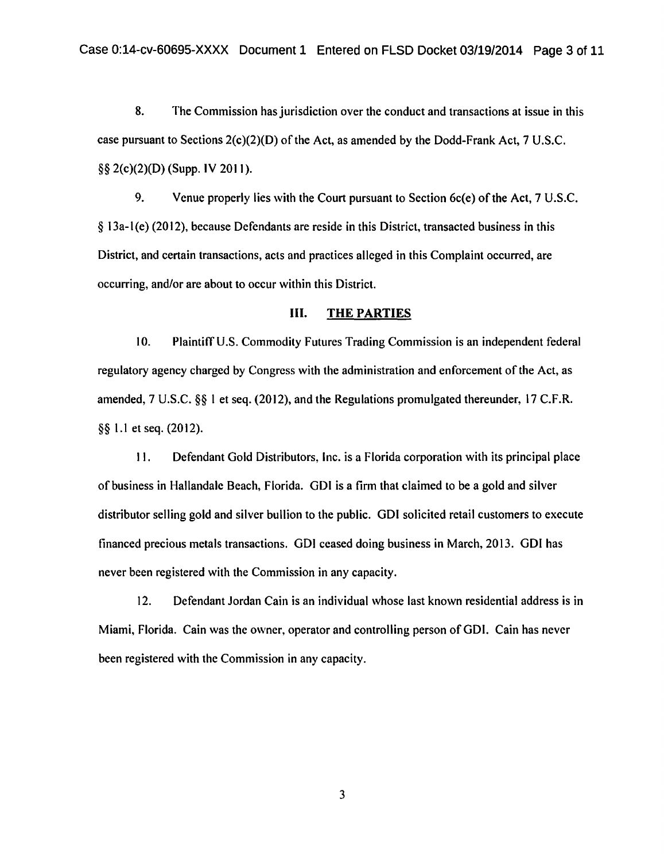8. The Commission has jurisdiction over the conduct and transactions at issue in this case pursuant to Sections 2(c)(2)(D) of the Act, as amended by the Dodd-Frank Act, 7 U.S.C. §§ 2(c)(2)(D) (Supp. IV 2011).

9. Venue properly lies with the Court pursuant to Section 6c(e) of the Act, 7 U.S.C. § 13a-l (e) (20 12), because Defendants are reside in this District, transacted business in this District, and certain transactions, acts and practices alleged in this Complaint occurred, are occurring, and/or are about to occur within this District.

### Ill. THE PARTIES

10. Plaintiff U.S. Commodity Futures Trading Commission is an independent federal regulatory agency charged by Congress with the administration and enforcement of the Act, as amended, 7 U.S.C.  $\S$  1 et seq. (2012), and the Regulations promulgated thereunder, 17 C.F.R. §§ 1.1 et seq. (2012).

II. Defendant Gold Distributors, Inc. is a Florida corporation with its principal place of business in Hallandale Beach, Florida. GDI is a firm that claimed to be a gold and silver distributor selling gold and silver bullion to the public. GDI solicited retail customers to execute financed precious metals transactions. GDI ceased doing business in March, 2013. GDI has never been registered with the Commission in any capacity.

12. Defendant Jordan Cain is an individual whose last known residential address is in Miami, Florida. Cain was the owner, operator and controlling person ofGDI. Cain has never been registered with the Commission in any capacity.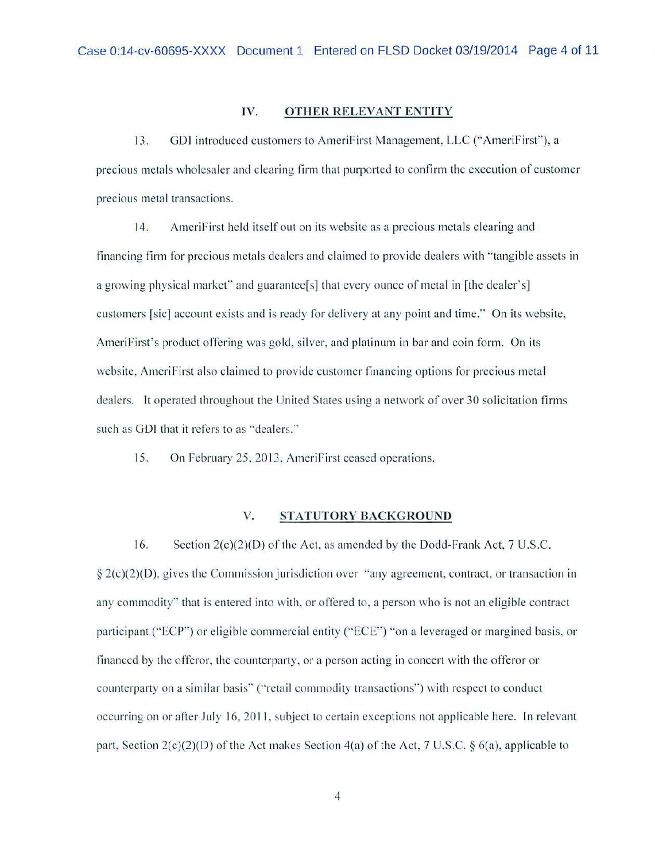## IV. **OTHER RELEVANT ENTITY**

13. GDJ introduced customers to AmeriFirst Management, LLC ("AmeriFirst"), a precious metals wholesaler and clearing firm that purported to confirm the execution of customer precious metal transactions.

14. Ameri First held itself out on its website as a precious metals clearing and financing firm for precious metals dealers and claimed to provide dealers with "tangible assets in a growing physical market" and guarantee<sup>[s]</sup> that every ounce of metal in [the dealer's] customers [sic] account exists and is ready for delivery at any point and time." On its website, AmeriFirst's product offering was gold, silver, and platinum in bar and coin form. On its website, AmeriFirst also claimed to provide customer financing options for precious metal dealers. It operated throughout the United States using a network of over 30 solicitation firms such as GDI that it refers to as ''dealers."

15. On February 25, 2013, AmeriFirst ceased operations.

#### **V. STATUTORY BACKGROUND**

16. Section  $2(c)(2)(D)$  of the Act, as amended by the Dodd-Frank Act, 7 U.S.C.  $\S 2(c)(2)(D)$ , gives the Commission jurisdiction over "any agreement, contract, or transaction in any commodity" that is entered into with, or offered to, a person who is not an eligible contract participant ("ECP") or eligible commercial entity ("ECE") "on a leveraged or margined basis, or financed by the offeror, the counterparty, or a person acting in concert with the offeror or counterparty on a similar basis" ("retail commodity transactions") with respect to conduct occurring on or after July 16, 2011, subject to certain exceptions not applicable here. In relevant part, Section  $2(c)(2)(D)$  of the Act makes Section 4(a) of the Act, 7 U.S.C. § 6(a), applicable to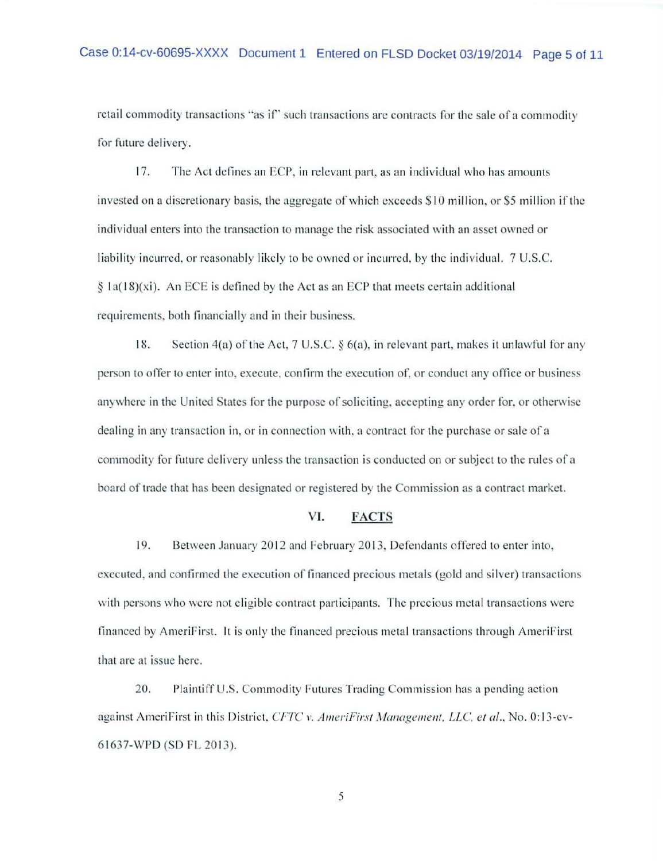retail commodity transactions "as if" such transactions are contracts for the sale of a commodity for future delivery.

17. The Act defines an ECP, in relevant part, as an individual who has amounts invested on a discretionary basis, the aggregate of which exceeds \$10 million, or \$5 million if the individual enters into the transaction to manage the risk associated with an asset owned or liability incurred, or reasonably likely to be owned or incurred, by the individual. 7 U.S.C.  $\S$  la( $18$ )(xi). An ECE is defined by the Act as an ECP that meets certain additional requirements. both financially and in their business.

18. Section 4(a) of the Act, 7 U.S.C. § 6(a), in relevant part, makes it unlawful for any person to offer to enter into. execute. confirm the execution of. or conduct any office or business anywhere in the United States for the purpose of soliciting, accepting any order for, or otherwise dealing in any transaction in. or in connection with, a contract for the purchase or sale of a commodity for future delivery unless the transaction is conducted on or subject to the rules of a board of trade that has been designated or registered by the Commission as a contract marker.

## VL FACTS

19. Between January 2012 and February 2013, Defendants offered to enter into, executed. and confirmed the execution of financed precious metals (gold and silver) transactions with persons who were not eligible contract participants. The precious metal transactions were financed by AmeriFirst. It is only the financed precious metal transactions through AmeriFirst that are at issue here.

20. Plaintiff U.S. Commodity Futures Trading Commission has a pending action against AmeriFirst in this District, CFTC v. AmeriFirst Management, LLC, et al., No. 0:13-cv-61637-WPD (SD FL 2013).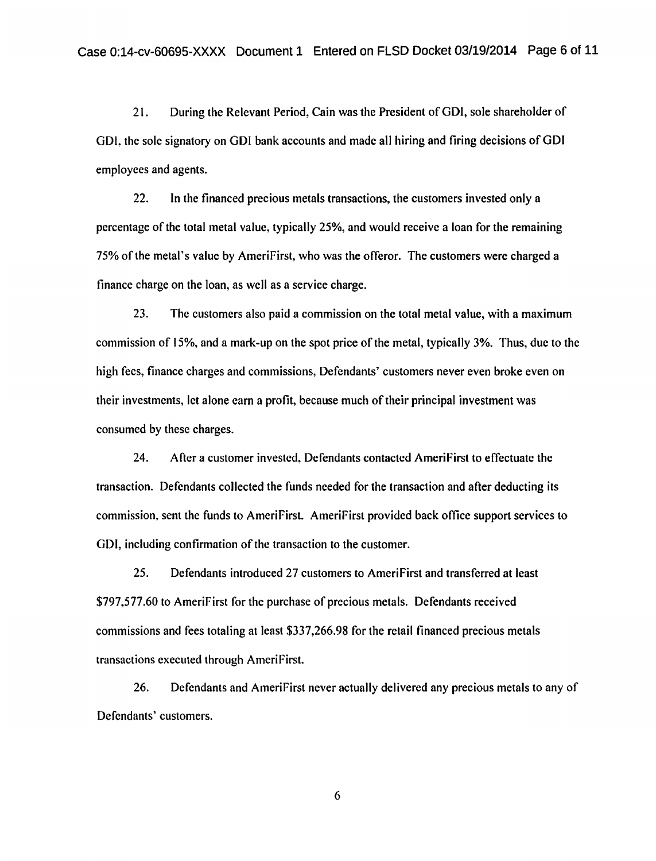21. During the Relevant Period, Cain was the President of GDI, sole shareholder of GDI, the sole signatory on GDI bank accounts and made all hiring and firing decisions of GDI employees and agents.

22. In the financed precious metals transactions, the customers invested only a percentage of the total metal value, typically 25%, and would receive a loan for the remaining 75% of the metal's value by AmeriFirst, who was the offeror. The customers were charged a finance charge on the loan, as well as a service charge.

23. The customers also paid a commission on the total metal value, with a maximum commission of 15%, and a mark-up on the spot price of the metal, typically 3%. Thus, due to the high fees, finance charges and commissions, Defendants' customers never even broke even on their investments, let alone cam a profit, because much of their principal investment was consumed by these charges.

24. After a customer invested, Defendants contacted AmeriFirst to effectuate the transaction. Defendants collected the funds needed for the transaction and after deducting its commission, sent the funds to AmeriFirst. AmeriFirst provided back office support services to GDI, including confirmation of the transaction to the customer.

25. Defendants introduced 27 customers to AmeriFirst and transferred at least \$797,577.60 to AmeriFirst for the purchase of precious metals. Defendants received commissions and fees totaling at least \$337,266.98 for the retail financed precious metals transactions executed through AmcriFirst.

26. Defendants and AmeriFirst never actually delivered any precious metals to any of Defendants' customers.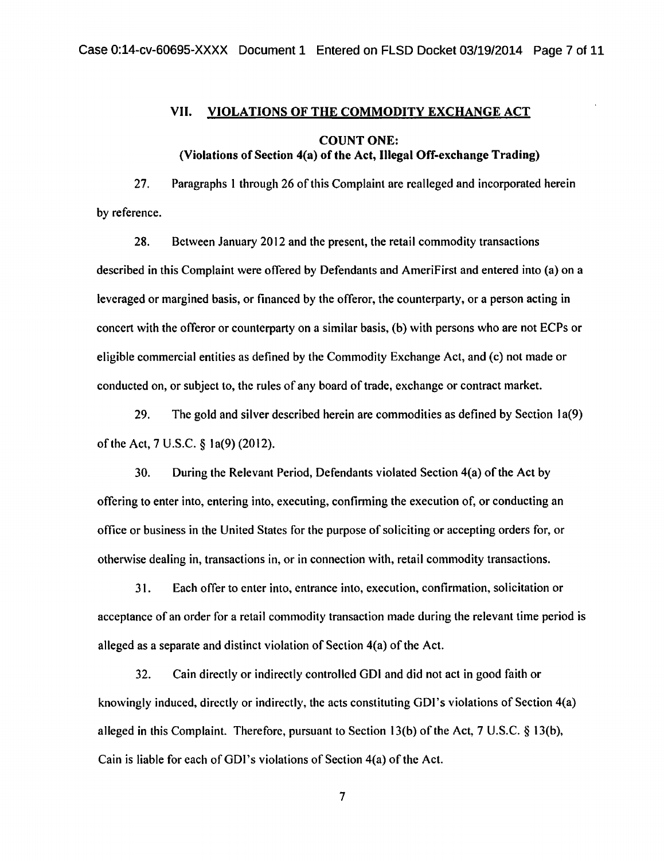# VII. VIOLATIONS OF THE COMMODITY EXCHANGE ACT COUNT ONE: (Violations of Section 4(a) of the Act, Illegal Off-exchange Trading)

27. Paragraphs l through 26 of this Complaint are realleged and incorporated herein by reference.

28. Between January 2012 and the present, the retail commodity transactions described in this Complaint were offered by Defendants and Amerifirst and entered into (a) on a leveraged or margined basis, or financed by the offeror, the counterparty, or a person acting in concert with the offeror or counterparty on a similar basis, (b) with persons who are not ECPs or eligible commercial entities as defined by the Commodity Exchange Act, and (c) not made or conducted on, or subject to, the rules of any board of trade, exchange or contract market.

29. The gold and silver described herein are commodities as defined by Section 1a(9) ofthe Act, 7 U.S.C. § la(9) (2012).

30. During the Relevant Period, Defendants violated Section 4(a) of the Act by offering to enter into, entering into, executing, confirming the execution of, or conducting an office or business in the United States for the purpose of soliciting or accepting orders for, or otherwise dealing in, transactions in, or in connection with, retail commodity transactions.

3 I. Each offer to enter into, entrance into, execution, confirmation, solicitation or acceptance of an order for a retail commodity transaction made during the relevant time period is alleged as a separate and distinct violation of Section  $4(a)$  of the Act.

32. Cain directly or indirectly controlled GDI and did not act in good faith or knowingly induced, directly or indirectly, the acts constituting GDI's violations of Section 4(a) alleged in this Complaint. Therefore, pursuant to Section 13(b) of the Act, 7 U.S.C.  $\S$  13(b), Cain is liable for each of GDI's violations of Section 4(a) of the Act.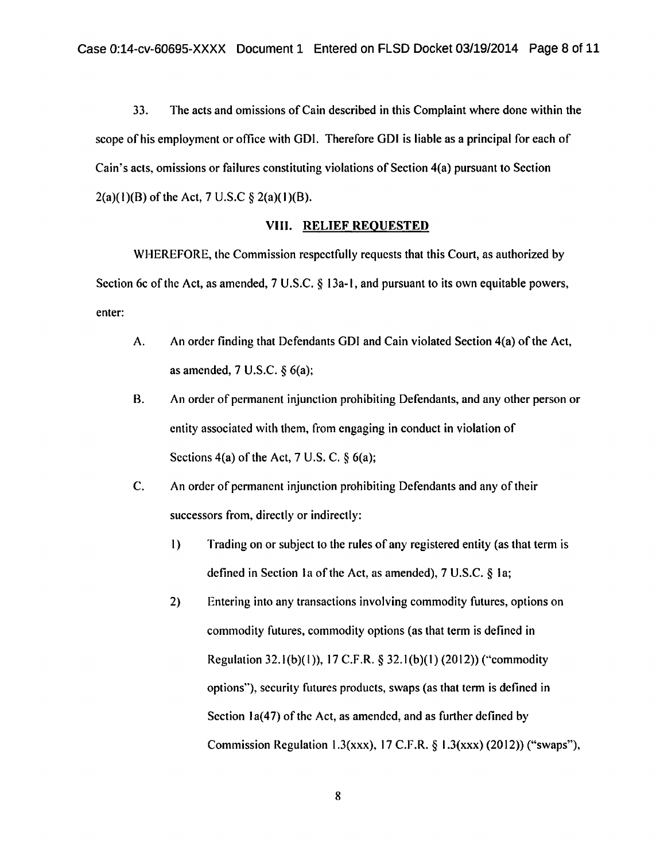33. The acts and omissions of Cain described in this Complaint where done within the scope of his employment or office with GDI. Therefore GDI is liable as a principal for each of Cain's acts, omissions or failures constituting violations of Section 4(a) pursuant to Section  $2(a)(1)(B)$  of the Act, 7 U.S.C § 2(a)(1)(B).

#### VIII. RELIEF REQUESTED

WHEREFORE, the Commission respectfully requests that this Court, as authorized by Section 6c of the Act, as amended, 7 U.S.C. § 13a-1, and pursuant to its own equitable powers, enter:

- A. An order finding that Defendants GDI and Cain violated Section 4(a) of the Act, as amended, 7 U.S.C. § 6(a);
- B. An order of permanent injunction prohibiting Defendants, and any other person or entity associated with them, from engaging in conduct in violation of Sections  $4(a)$  of the Act, 7 U.S. C.  $\frac{6}{6}(a)$ ;
- C. An order of permanent injunction prohibiting Defendants and any of their successors from, directly or indirectly:
	- I) Trading on or subject to the rules of any registered entity (as that term is defined in Section Ia of the Act, as amended), 7 U.S.C. § Ia;
	- 2) Entering into any transactions involving commodity futures, options on commodity futures, commodity options (as that term is defined in Regulation 32.l(b)(l)), 17 C.F.R. § 32.l(b)(l) (2012)) (''commodity options"), security futures products, swaps (as that term is defined in Section  $1a(47)$  of the Act, as amended, and as further defined by Commission Regulation l.3(xxx), 17 C.F.R. § l.3(xxx) (2012)) ("swaps"),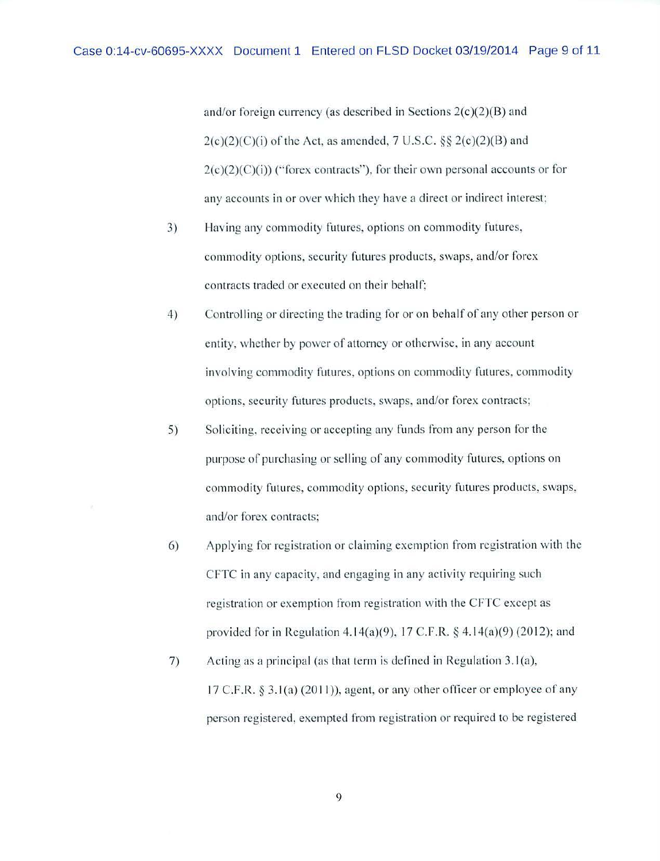and/or foreign currency (as described in Sections  $2(c)(2)(B)$  and  $2(c)(2)(C)(i)$  of the Act, as amended, 7 U.S.C. §§  $2(c)(2)(B)$  and  $2(c)(2)(c)(i)$  ("forex contracts"), for their own personal accounts or for any accounts in or over which they have a direct or indirect interest;

- 3) Having any commodity futures, options on commodity futures, commodity options, security futures products, swaps, and/or forex contracts traded or executed on their behalf;
- 4) Controlling or directing the trading for or on behalf of any other person or entiry, whether by power of attorney or otherwise, in any account in volving commodity futures, options on commodity futures, commodity options, security futures products, swaps, and/or forex contracts;
- 5) Soliciting, receiving or accepting any funds from any person for the purpose of purchasing or selling of any commodity futures, options on commodity futures, commodity options, security futures products, swaps, and/or forex contracts;
- 6) Applying for registration or claiming exemption from registration with the CFTC in any capacity. and engaging in any activity requiring such registration or exemption from registration with the CFTC except as provided for in Regulation 4.14(a)(9), 17 C.F.R.  $\frac{1}{2}$  4.14(a)(9) (2012); and
- 7) Acting as a principal (as that term is defined in Regulation  $3.1(a)$ ,  $17$  C.F.R.  $\S$  3.1(a) (2011)), agent, or any other officer or employee of any person registered, exempted from registration or required to be registered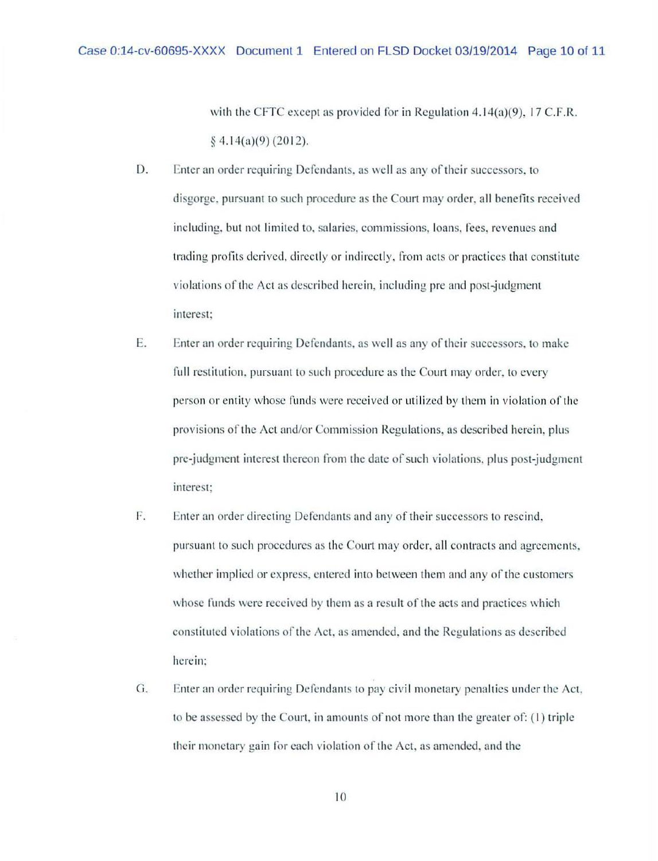with the CFTC except as provided for in Regulation 4.14(a)(9), 17 C.F.R.  $§$  4.14(a)(9) (2012).

- D. Enter an order requiring Defendants. as well as any of their successors. to disgorge. pursuant to such procedure as the Court may order. all benefits received including, but not limited to, salaries, commissions, loans, fees, revenues and trading profits derived, directly or indirectly, from acts or practices that constitute violations of the Act as described herein, including pre and post-judgment interest:
- E. Enter an order requiring Defendams. as well as any of their successors. to make full restitution. pursuant to such procedure as the Court may order. to every person or entity whose funds were received or utilized by them in violation of the provisions of the Act and/or Commission Regulations, as described herein. plus pre-judgment interest thereon from the date of such violations. plus post-judgment interest:
- F. Enter an order directing Defendants and any of their successors to rescind. pursuant to such procedures as the Court may order, all contracts and agreements, whether implied or express, entered into between them and any of the customers whose funds were received by them as a result of the acts and practices which constituted violations of the Act. as nmended, and the Regulations as described herein;
- G. Enter an order requiring Defendants to pay civil monetary penalties under the Act. to be assessed by the Court, in amounts of not more than the greater of:  $(1)$  triple their monetary gain for each violation of the Act. as amended. and the